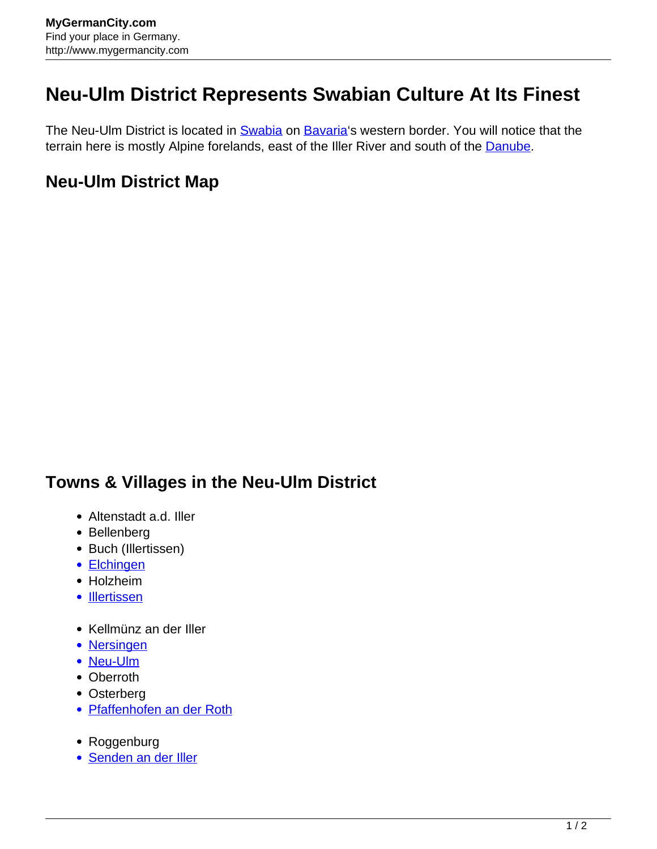## **Neu-Ulm District Represents Swabian Culture At Its Finest**

The Neu-Ulm District is located in **[Swabia](http://www.mygermancity.com/swabia)** on **Bavaria's** western border. You will notice that the terrain here is mostly Alpine forelands, east of the Iller River and south of the [Danube.](http://www.mygermancity.com/danube)

## **Neu-Ulm District Map**

## **Towns & Villages in the Neu-Ulm District**

- Altenstadt a.d. Iller
- Bellenberg
- Buch (Illertissen)
- [Elchingen](http://www.mygermancity.com/elchingen)
- Holzheim
- [Illertissen](http://www.mygermancity.com/illertissen)
- Kellmünz an der Iller
- [Nersingen](http://www.mygermancity.com/nersingen)
- [Neu-Ulm](http://www.mygermancity.com/neu-ulm)
- Oberroth
- Osterberg
- [Pfaffenhofen an der Roth](http://www.mygermancity.com/pfaffenhofen-roth)
- Roggenburg
- [Senden an der Iller](http://www.mygermancity.com/senden-bavaria)